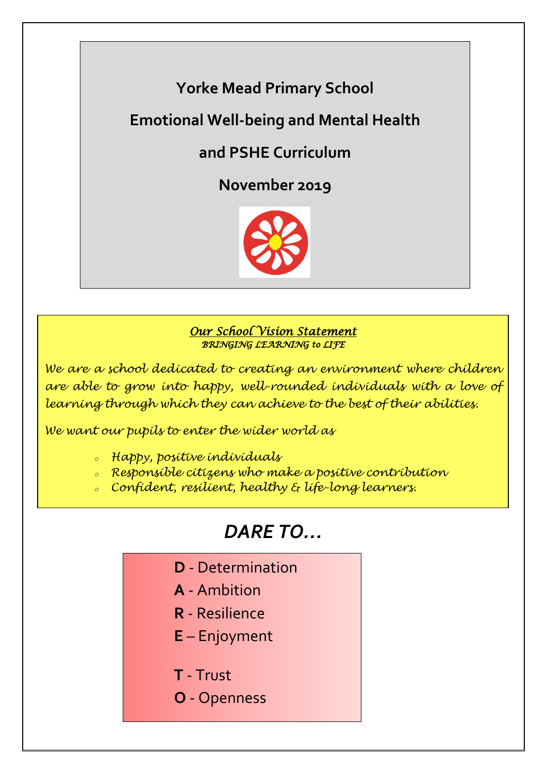# **Yorke Mead Primary School**

# **Emotional Well-being and Mental Health**

## **and PSHE Curriculum**

**November 2019**



## *Our School Vision Statement BRINGING LEARNING to LIFE*

*We are a school dedicated to creating an environment where children are able to grow into happy, well-rounded individuals with a love of learning through which they can achieve to the best of their abilities.*

*We want our pupils to enter the wider world as*

- *<sup>o</sup> Happy, positive individuals*
- *<sup>o</sup> Responsible citizens who make a positive contribution*
- *<sup>o</sup> Confident, resilient, healthy & life-long learners.*

# *DARE TO…*

- **D** Determination
- **A** Ambition
- **R** Resilience
- **E** Enjoyment
- **T** Trust
- **O** Openness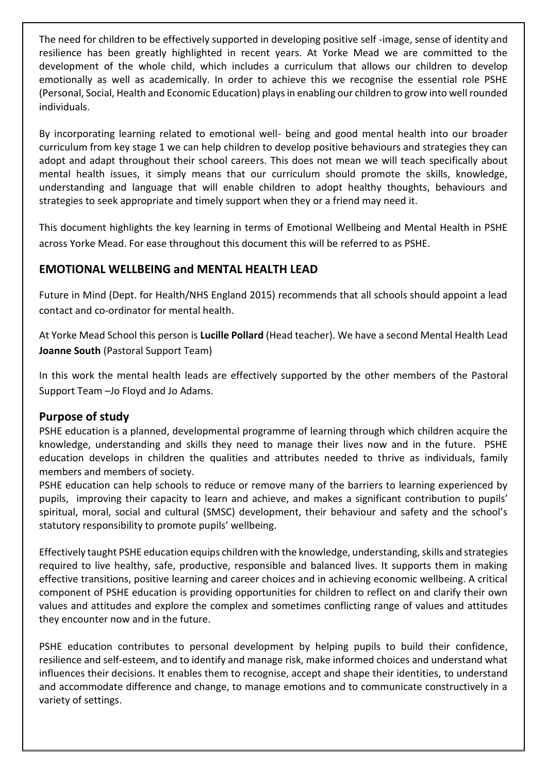The need for children to be effectively supported in developing positive self -image, sense of identity and resilience has been greatly highlighted in recent years. At Yorke Mead we are committed to the development of the whole child, which includes a curriculum that allows our children to develop emotionally as well as academically. In order to achieve this we recognise the essential role PSHE (Personal, Social, Health and Economic Education) plays in enabling our children to grow into well rounded individuals.

By incorporating learning related to emotional well- being and good mental health into our broader curriculum from key stage 1 we can help children to develop positive behaviours and strategies they can adopt and adapt throughout their school careers. This does not mean we will teach specifically about mental health issues, it simply means that our curriculum should promote the skills, knowledge, understanding and language that will enable children to adopt healthy thoughts, behaviours and strategies to seek appropriate and timely support when they or a friend may need it.

This document highlights the key learning in terms of Emotional Wellbeing and Mental Health in PSHE across Yorke Mead. For ease throughout this document this will be referred to as PSHE.

## **EMOTIONAL WELLBEING and MENTAL HEALTH LEAD**

Future in Mind (Dept. for Health/NHS England 2015) recommends that all schools should appoint a lead contact and co-ordinator for mental health.

At Yorke Mead School this person is **Lucille Pollard** (Head teacher). We have a second Mental Health Lead **Joanne South** (Pastoral Support Team)

In this work the mental health leads are effectively supported by the other members of the Pastoral Support Team –Jo Floyd and Jo Adams.

### **Purpose of study**

PSHE education is a planned, developmental programme of learning through which children acquire the knowledge, understanding and skills they need to manage their lives now and in the future. PSHE education develops in children the qualities and attributes needed to thrive as individuals, family members and members of society.

PSHE education can help schools to reduce or remove many of the barriers to learning experienced by pupils, improving their capacity to learn and achieve, and makes a significant contribution to pupils' spiritual, moral, social and cultural (SMSC) development, their behaviour and safety and the school's statutory responsibility to promote pupils' wellbeing.

Effectively taught PSHE education equips children with the knowledge, understanding, skills and strategies required to live healthy, safe, productive, responsible and balanced lives. It supports them in making effective transitions, positive learning and career choices and in achieving economic wellbeing. A critical component of PSHE education is providing opportunities for children to reflect on and clarify their own values and attitudes and explore the complex and sometimes conflicting range of values and attitudes they encounter now and in the future.

PSHE education contributes to personal development by helping pupils to build their confidence, resilience and self-esteem, and to identify and manage risk, make informed choices and understand what influences their decisions. It enables them to recognise, accept and shape their identities, to understand and accommodate difference and change, to manage emotions and to communicate constructively in a variety of settings.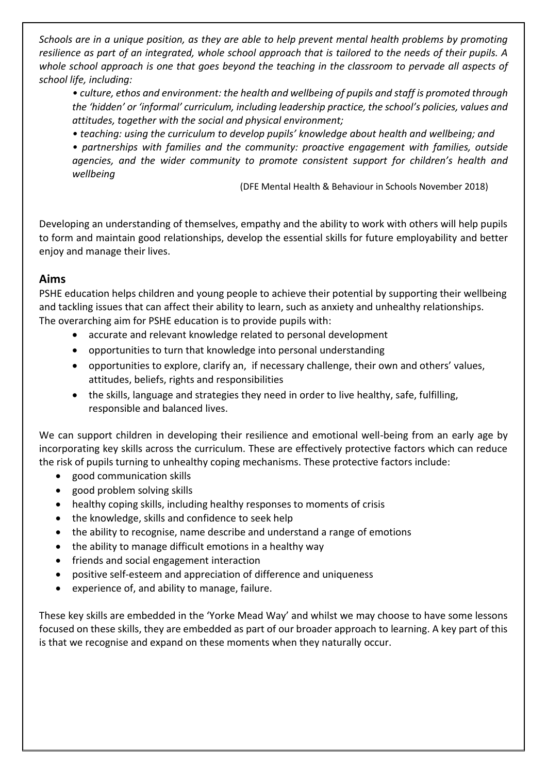*Schools are in a unique position, as they are able to help prevent mental health problems by promoting resilience as part of an integrated, whole school approach that is tailored to the needs of their pupils. A whole school approach is one that goes beyond the teaching in the classroom to pervade all aspects of school life, including:*

*• culture, ethos and environment: the health and wellbeing of pupils and staff is promoted through the 'hidden' or 'informal' curriculum, including leadership practice, the school's policies, values and attitudes, together with the social and physical environment;*

*• teaching: using the curriculum to develop pupils' knowledge about health and wellbeing; and*

*• partnerships with families and the community: proactive engagement with families, outside agencies, and the wider community to promote consistent support for children's health and wellbeing*

(DFE Mental Health & Behaviour in Schools November 2018)

Developing an understanding of themselves, empathy and the ability to work with others will help pupils to form and maintain good relationships, develop the essential skills for future employability and better enjoy and manage their lives.

### **Aims**

PSHE education helps children and young people to achieve their potential by supporting their wellbeing and tackling issues that can affect their ability to learn, such as anxiety and unhealthy relationships. The overarching aim for PSHE education is to provide pupils with:

- accurate and relevant knowledge related to personal development
- opportunities to turn that knowledge into personal understanding
- opportunities to explore, clarify an, if necessary challenge, their own and others' values, attitudes, beliefs, rights and responsibilities
- the skills, language and strategies they need in order to live healthy, safe, fulfilling, responsible and balanced lives.

We can support children in developing their resilience and emotional well-being from an early age by incorporating key skills across the curriculum. These are effectively protective factors which can reduce the risk of pupils turning to unhealthy coping mechanisms. These protective factors include:

- good communication skills
- good problem solving skills
- healthy coping skills, including healthy responses to moments of crisis
- the knowledge, skills and confidence to seek help
- the ability to recognise, name describe and understand a range of emotions
- the ability to manage difficult emotions in a healthy way
- friends and social engagement interaction
- positive self-esteem and appreciation of difference and uniqueness
- experience of, and ability to manage, failure.

These key skills are embedded in the 'Yorke Mead Way' and whilst we may choose to have some lessons focused on these skills, they are embedded as part of our broader approach to learning. A key part of this is that we recognise and expand on these moments when they naturally occur.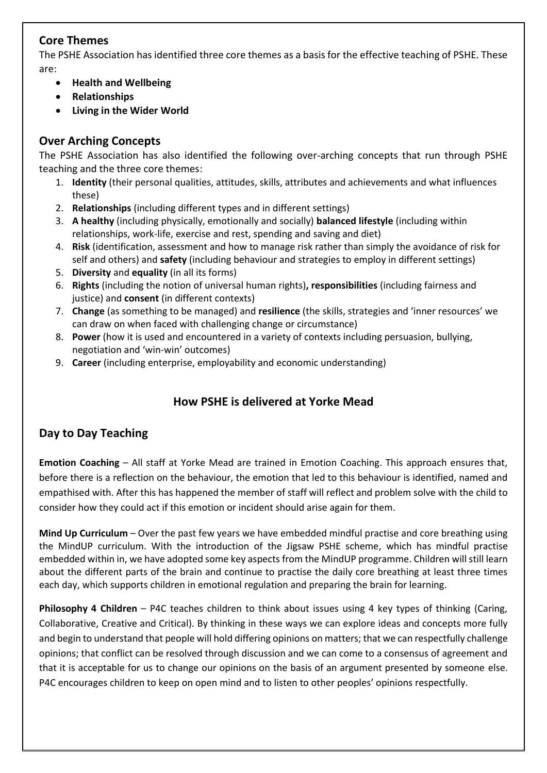## **Core Themes**

The PSHE Association has identified three core themes as a basis for the effective teaching of PSHE. These are:

- **Health and Wellbeing**
- **Relationships**
- **Living in the Wider World**

## **Over Arching Concepts**

The PSHE Association has also identified the following over-arching concepts that run through PSHE teaching and the three core themes:

- 1. **Identity** (their personal qualities, attitudes, skills, attributes and achievements and what influences these)
- 2. **Relationships** (including different types and in different settings)
- 3. **A healthy** (including physically, emotionally and socially) **balanced lifestyle** (including within relationships, work-life, exercise and rest, spending and saving and diet)
- 4. **Risk** (identification, assessment and how to manage risk rather than simply the avoidance of risk for self and others) and **safety** (including behaviour and strategies to employ in different settings)
- 5. **Diversity** and **equality** (in all its forms)
- 6. **Rights** (including the notion of universal human rights)**, responsibilities** (including fairness and justice) and **consent** (in different contexts)
- 7. **Change** (as something to be managed) and **resilience** (the skills, strategies and 'inner resources' we can draw on when faced with challenging change or circumstance)
- 8. **Power** (how it is used and encountered in a variety of contexts including persuasion, bullying, negotiation and 'win-win' outcomes)
- 9. **Career** (including enterprise, employability and economic understanding)

## **How PSHE is delivered at Yorke Mead**

## **Day to Day Teaching**

**Emotion Coaching** – All staff at Yorke Mead are trained in Emotion Coaching. This approach ensures that, before there is a reflection on the behaviour, the emotion that led to this behaviour is identified, named and empathised with. After this has happened the member of staff will reflect and problem solve with the child to consider how they could act if this emotion or incident should arise again for them.

**Mind Up Curriculum** – Over the past few years we have embedded mindful practise and core breathing using the MindUP curriculum. With the introduction of the Jigsaw PSHE scheme, which has mindful practise embedded within in, we have adopted some key aspects from the MindUP programme. Children will still learn about the different parts of the brain and continue to practise the daily core breathing at least three times each day, which supports children in emotional regulation and preparing the brain for learning.

**Philosophy 4 Children** – P4C teaches children to think about issues using 4 key types of thinking (Caring, Collaborative, Creative and Critical). By thinking in these ways we can explore ideas and concepts more fully and begin to understand that people will hold differing opinions on matters; that we can respectfully challenge opinions; that conflict can be resolved through discussion and we can come to a consensus of agreement and that it is acceptable for us to change our opinions on the basis of an argument presented by someone else. P4C encourages children to keep on open mind and to listen to other peoples' opinions respectfully.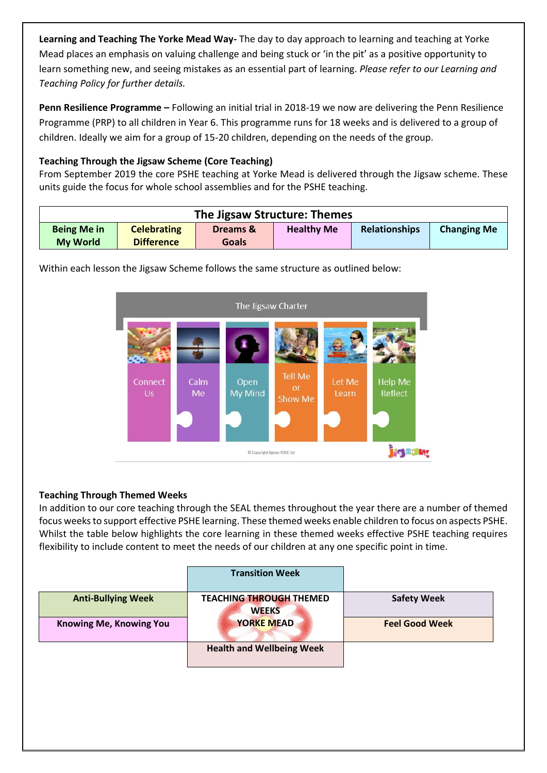**Learning and Teaching The Yorke Mead Way-** The day to day approach to learning and teaching at Yorke Mead places an emphasis on valuing challenge and being stuck or 'in the pit' as a positive opportunity to learn something new, and seeing mistakes as an essential part of learning. *Please refer to our Learning and Teaching Policy for further details.*

**Penn Resilience Programme –** Following an initial trial in 2018-19 we now are delivering the Penn Resilience Programme (PRP) to all children in Year 6. This programme runs for 18 weeks and is delivered to a group of children. Ideally we aim for a group of 15-20 children, depending on the needs of the group.

#### **Teaching Through the Jigsaw Scheme (Core Teaching)**

From September 2019 the core PSHE teaching at Yorke Mead is delivered through the Jigsaw scheme. These units guide the focus for whole school assemblies and for the PSHE teaching.

|                                                                                                                            | The Jigsaw Structure: Themes        |  |  |
|----------------------------------------------------------------------------------------------------------------------------|-------------------------------------|--|--|
| <b>Healthy Me</b><br><b>Celebrating</b><br><b>Being Me in</b><br>Dreams &<br><b>Difference</b><br><b>My World</b><br>Goals | Relationships<br><b>Changing Me</b> |  |  |

Within each lesson the Jigsaw Scheme follows the same structure as outlined below:



#### **Teaching Through Themed Weeks**

In addition to our core teaching through the SEAL themes throughout the year there are a number of themed focus weeks to support effective PSHE learning. These themed weeks enable children to focus on aspects PSHE. Whilst the table below highlights the core learning in these themed weeks effective PSHE teaching requires flexibility to include content to meet the needs of our children at any one specific point in time.

|                           | <b>Transition Week</b>                         |                       |
|---------------------------|------------------------------------------------|-----------------------|
| <b>Anti-Bullying Week</b> | <b>TEACHING THROUGH THEMED</b><br><b>WEEKS</b> | <b>Safety Week</b>    |
| Knowing Me, Knowing You   | <b>YORKE MEAD</b>                              | <b>Feel Good Week</b> |
|                           | <b>Health and Wellbeing Week</b>               |                       |
|                           |                                                |                       |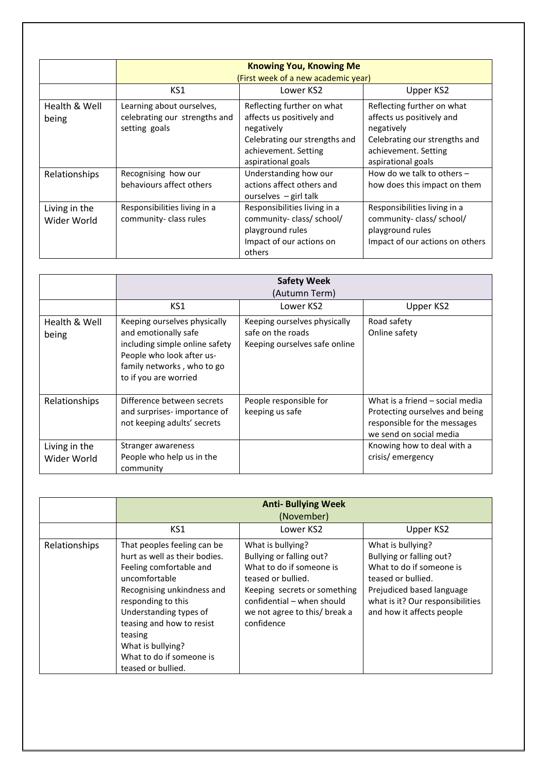|                              |                                                                             | <b>Knowing You, Knowing Me</b>                                                                                                                       |                                                                                                                                                      |
|------------------------------|-----------------------------------------------------------------------------|------------------------------------------------------------------------------------------------------------------------------------------------------|------------------------------------------------------------------------------------------------------------------------------------------------------|
|                              | (First week of a new academic year)                                         |                                                                                                                                                      |                                                                                                                                                      |
|                              | KS1                                                                         | Lower KS2                                                                                                                                            | Upper KS2                                                                                                                                            |
| Health & Well<br>being       | Learning about ourselves,<br>celebrating our strengths and<br>setting goals | Reflecting further on what<br>affects us positively and<br>negatively<br>Celebrating our strengths and<br>achievement. Setting<br>aspirational goals | Reflecting further on what<br>affects us positively and<br>negatively<br>Celebrating our strengths and<br>achievement. Setting<br>aspirational goals |
| Relationships                | Recognising how our<br>behaviours affect others                             | Understanding how our<br>actions affect others and<br>ourselves $-$ girl talk                                                                        | How do we talk to others $-$<br>how does this impact on them                                                                                         |
| Living in the<br>Wider World | Responsibilities living in a<br>community-class rules                       | Responsibilities living in a<br>community-class/school/<br>playground rules<br>Impact of our actions on<br>others                                    | Responsibilities living in a<br>community-class/school/<br>playground rules<br>Impact of our actions on others                                       |

|                              |                                                                                                                                                                            | <b>Safety Week</b><br>(Autumn Term)                                                |                                                                                                                              |
|------------------------------|----------------------------------------------------------------------------------------------------------------------------------------------------------------------------|------------------------------------------------------------------------------------|------------------------------------------------------------------------------------------------------------------------------|
|                              | KS1                                                                                                                                                                        | Lower KS2                                                                          | Upper KS2                                                                                                                    |
| Health & Well<br>being       | Keeping ourselves physically<br>and emotionally safe<br>including simple online safety<br>People who look after us-<br>family networks, who to go<br>to if you are worried | Keeping ourselves physically<br>safe on the roads<br>Keeping ourselves safe online | Road safety<br>Online safety                                                                                                 |
| Relationships                | Difference between secrets<br>and surprises-importance of<br>not keeping adults' secrets                                                                                   | People responsible for<br>keeping us safe                                          | What is a friend – social media<br>Protecting ourselves and being<br>responsible for the messages<br>we send on social media |
| Living in the<br>Wider World | Stranger awareness<br>People who help us in the<br>community                                                                                                               |                                                                                    | Knowing how to deal with a<br>crisis/emergency                                                                               |

|                      |                                                                                                                                                                                                                                                                                                       | <b>Anti- Bullying Week</b><br>(November)                                                                                                                                                                     |                                                                                                                                                                                               |
|----------------------|-------------------------------------------------------------------------------------------------------------------------------------------------------------------------------------------------------------------------------------------------------------------------------------------------------|--------------------------------------------------------------------------------------------------------------------------------------------------------------------------------------------------------------|-----------------------------------------------------------------------------------------------------------------------------------------------------------------------------------------------|
|                      | KS1                                                                                                                                                                                                                                                                                                   | Lower KS2                                                                                                                                                                                                    | Upper KS2                                                                                                                                                                                     |
| <b>Relationships</b> | That peoples feeling can be<br>hurt as well as their bodies.<br>Feeling comfortable and<br>uncomfortable<br>Recognising unkindness and<br>responding to this<br>Understanding types of<br>teasing and how to resist<br>teasing<br>What is bullying?<br>What to do if someone is<br>teased or bullied. | What is bullying?<br>Bullying or falling out?<br>What to do if someone is<br>teased or bullied.<br>Keeping secrets or something<br>confidential - when should<br>we not agree to this/ break a<br>confidence | What is bullying?<br>Bullying or falling out?<br>What to do if someone is<br>teased or bullied.<br>Prejudiced based language<br>what is it? Our responsibilities<br>and how it affects people |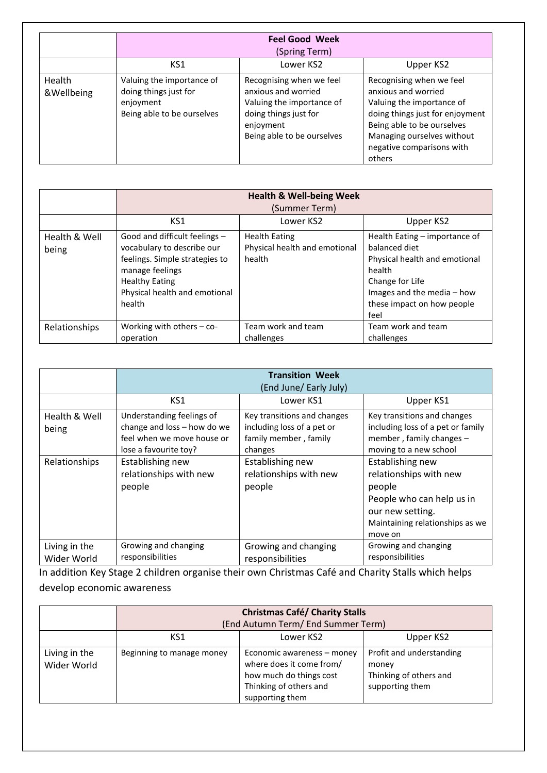|                      |                                                                                               | <b>Feel Good Week</b><br>(Spring Term)                                                                                                           |                                                                                                                                                                                                                    |
|----------------------|-----------------------------------------------------------------------------------------------|--------------------------------------------------------------------------------------------------------------------------------------------------|--------------------------------------------------------------------------------------------------------------------------------------------------------------------------------------------------------------------|
|                      | KS1                                                                                           | Lower KS2                                                                                                                                        | Upper KS2                                                                                                                                                                                                          |
| Health<br>&Wellbeing | Valuing the importance of<br>doing things just for<br>enjoyment<br>Being able to be ourselves | Recognising when we feel<br>anxious and worried<br>Valuing the importance of<br>doing things just for<br>enjoyment<br>Being able to be ourselves | Recognising when we feel<br>anxious and worried<br>Valuing the importance of<br>doing things just for enjoyment<br>Being able to be ourselves<br>Managing ourselves without<br>negative comparisons with<br>others |

|                        |                                                                                                                                                                                      | <b>Health &amp; Well-being Week</b><br>(Summer Term)            |                                                                                                                                                                                  |
|------------------------|--------------------------------------------------------------------------------------------------------------------------------------------------------------------------------------|-----------------------------------------------------------------|----------------------------------------------------------------------------------------------------------------------------------------------------------------------------------|
|                        | KS1                                                                                                                                                                                  | Lower KS2                                                       | Upper KS2                                                                                                                                                                        |
| Health & Well<br>being | Good and difficult feelings -<br>vocabulary to describe our<br>feelings. Simple strategies to<br>manage feelings<br><b>Healthy Eating</b><br>Physical health and emotional<br>health | <b>Health Eating</b><br>Physical health and emotional<br>health | Health Eating - importance of<br>balanced diet<br>Physical health and emotional<br>health<br>Change for Life<br>Images and the media - how<br>these impact on how people<br>feel |
| Relationships          | Working with others $-$ co-<br>operation                                                                                                                                             | Team work and team<br>challenges                                | Team work and team<br>challenges                                                                                                                                                 |

|                              |                                                                                                                 | <b>Transition Week</b><br>(End June/ Early July)                                              |                                                                                                                                                     |
|------------------------------|-----------------------------------------------------------------------------------------------------------------|-----------------------------------------------------------------------------------------------|-----------------------------------------------------------------------------------------------------------------------------------------------------|
|                              | KS1                                                                                                             | Lower KS1                                                                                     | Upper KS1                                                                                                                                           |
| Health & Well<br>being       | Understanding feelings of<br>change and loss - how do we<br>feel when we move house or<br>lose a favourite toy? | Key transitions and changes<br>including loss of a pet or<br>family member, family<br>changes | Key transitions and changes<br>including loss of a pet or family<br>member, family changes -<br>moving to a new school                              |
| Relationships                | Establishing new<br>relationships with new<br>people                                                            | Establishing new<br>relationships with new<br>people                                          | Establishing new<br>relationships with new<br>people<br>People who can help us in<br>our new setting.<br>Maintaining relationships as we<br>move on |
| Living in the<br>Wider World | Growing and changing<br>responsibilities                                                                        | Growing and changing<br>responsibilities                                                      | Growing and changing<br>responsibilities                                                                                                            |

In addition Key Stage 2 children organise their own Christmas Café and Charity Stalls which helps develop economic awareness

|                              | <b>Christmas Café/ Charity Stalls</b> |                                                                                                                                |                                                                                |
|------------------------------|---------------------------------------|--------------------------------------------------------------------------------------------------------------------------------|--------------------------------------------------------------------------------|
|                              | (End Autumn Term/ End Summer Term)    |                                                                                                                                |                                                                                |
|                              | KS1                                   | Lower KS2                                                                                                                      | Upper KS2                                                                      |
| Living in the<br>Wider World | Beginning to manage money             | Economic awareness - money<br>where does it come from/<br>how much do things cost<br>Thinking of others and<br>supporting them | Profit and understanding<br>money<br>Thinking of others and<br>supporting them |